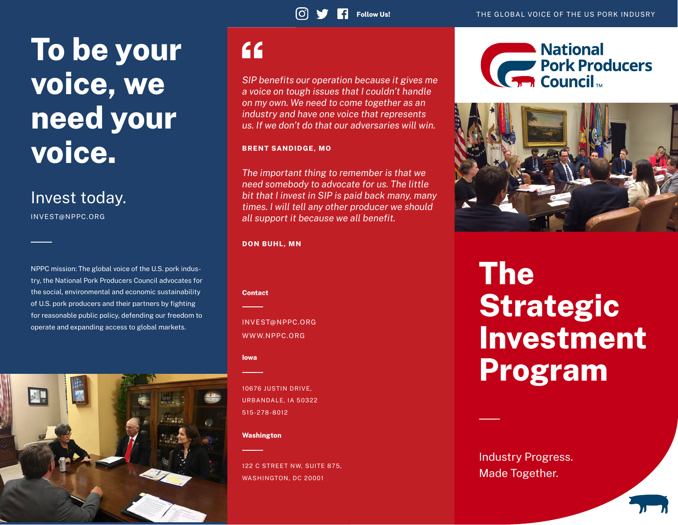# To be your voice, we need your voice.

### Invest today.

INVEST@NPPC.ORG

NPPC mission: The global voice of the U.S. pork industry, the National Pork Producers Council advocates for the social, environmental and economic sustainability of U.S. pork producers and their partners by fighting for reasonable public policy, defending our freedom to operate and expanding access to global markets.



## $66$

*SIP benefits our operation because it gives me a voice on tough issues that I couldn't handle on my own. We need to come together as an industry and have one voice that represents us. If we don't do that our adversaries will win.*

### BRENT SANDIDGE, MO

*The important thing to remember is that we need somebody to advocate for us. The little bit that I invest in SIP is paid back many, many times. I will tell any other producer we should all support it because we all benefit.*

#### DON BUHL, MN

Contact

INVEST@NPPC.ORG WWW.NPPC.ORG

### Iowa

10676 JUSTIN DRIVE, URBANDALE, IA 50322 515-278-8012

#### Washington

122 C STREET NW, SUITE 875, WASHINGTON, DC 20001





# The **Strategic** Investment Program

Industry Progress. Made Together.